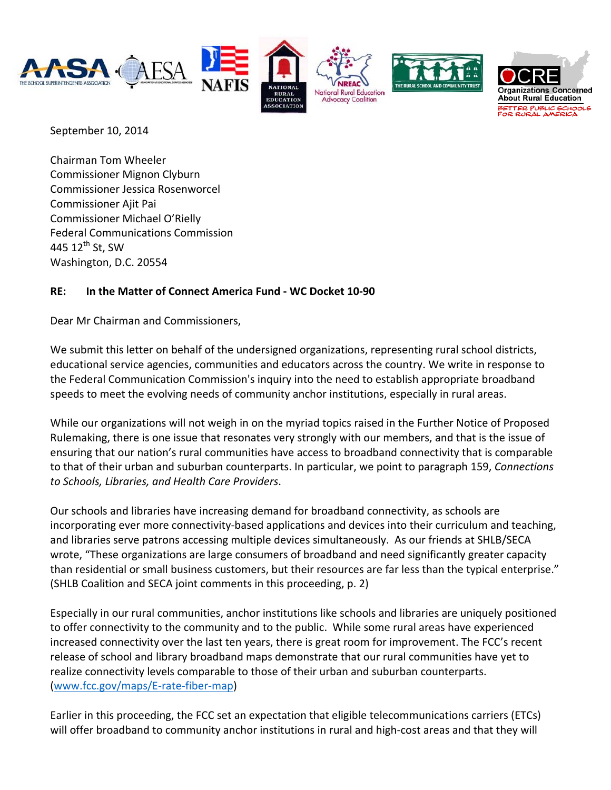

September 10, 2014

Chairman Tom Wheeler Commissioner Mignon Clyburn Commissioner Jessica Rosenworcel Commissioner Ajit Pai Commissioner Michael O'Rielly Federal Communications Commission 445  $12^{th}$  St, SW Washington, D.C. 20554

## **RE: In the Matter of Connect America Fund ‐ WC Docket 10‐90**

Dear Mr Chairman and Commissioners,

We submit this letter on behalf of the undersigned organizations, representing rural school districts, educational service agencies, communities and educators across the country. We write in response to the Federal Communication Commission's inquiry into the need to establish appropriate broadband speeds to meet the evolving needs of community anchor institutions, especially in rural areas.

While our organizations will not weigh in on the myriad topics raised in the Further Notice of Proposed Rulemaking, there is one issue that resonates very strongly with our members, and that is the issue of ensuring that our nation's rural communities have access to broadband connectivity that is comparable to that of their urban and suburban counterparts. In particular, we point to paragraph 159, *Connections to Schools, Libraries, and Health Care Providers*.

Our schools and libraries have increasing demand for broadband connectivity, as schools are incorporating ever more connectivity‐based applications and devices into their curriculum and teaching, and libraries serve patrons accessing multiple devices simultaneously. As our friends at SHLB/SECA wrote, "These organizations are large consumers of broadband and need significantly greater capacity than residential or small business customers, but their resources are far less than the typical enterprise." (SHLB Coalition and SECA joint comments in this proceeding, p. 2)

Especially in our rural communities, anchor institutions like schools and libraries are uniquely positioned to offer connectivity to the community and to the public. While some rural areas have experienced increased connectivity over the last ten years, there is great room for improvement. The FCC's recent release of school and library broadband maps demonstrate that our rural communities have yet to realize connectivity levels comparable to those of their urban and suburban counterparts. (www.fcc.gov/maps/E‐rate‐fiber‐map)

Earlier in this proceeding, the FCC set an expectation that eligible telecommunications carriers (ETCs) will offer broadband to community anchor institutions in rural and high‐cost areas and that they will